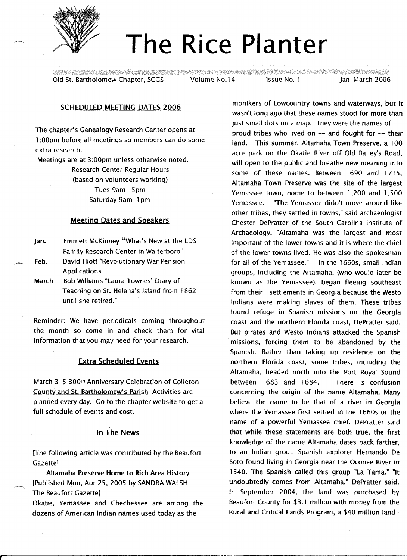

# **The Rice Planter**

Old St. Bartholomew Chapter, SCGS Volume No.14 Issue No.1 Jan-March 2006

# SCHEDULED MEETING DATES 2006

The chapter's Genealogy Research Center opens at 1:OOpm before all meetings so members can do some extra research.

Meetings are at 3:00pm unless otherwise noted.

Research Center Regular Hours (based on volunteers working) Tues 9am- 5pm Saturday 9am-1 pm

# Meeting Dates and Speakers

- Jan. Emmett McKinney "What's New at the LDS Family Research Center in Walterboro"
- Feb. David Hiott "Revolutionary War Pension Applications"
- March Bob Williams "Laura Townes' Diary of Teaching on St. Helena's Island from 1862 until she retired."

Reminder: We have periodicals coming throughout the month so come in and check them for vital information that you may need for your research.

# Extra Scheduled Events

March 3-5 300th Anniversary Celebration of Colleton County and St. Bartholomew's Parish Activities are planned every day. Go to the chapter website to get a full schedule of events and cost.

# In The News

[The following article was contributed by the Beaufort Gazette]

Altamaha Preserve Home to Rich Area History [Published Mon, Apr 25, 2005 by SANDRA WALSH The Beaufort Gazette]

Okatie, Yemassee and Chechessee are among the dozens of American Indian names used today as the

monikers of lowcountry towns and waterways, but it wasn't long ago that these names stood for more than just small dots on a map. They were the names of proud tribes who lived on -- and fought for -- their land. This summer, Altamaha Town Preserve, a 100 acre park on the Okatie River off Old Bailey's Road, will open to the public and breathe new meaning into some of these names. Between 1690 and 1715, Altamaha Town Preserve was the site of the largest Yemassee town, home to between 1,200 and 1,500 Yemassee. "The Yemassee didn't move around like other tribes, they settled in towns," said archaeologist Chester DePratter of the South Carolina Institute of Archaeology. "Altamaha was the largest and most important of the lower towns and it is where the chief of the lower towns lived. He was also the spokesman for all of the Yemassee." In the 1660s, small Indian groups, including the Altamaha, (who would later be known as the Yemassee), began fleeing southeast from their settlements in Georgia because the Westo Indians were making slaves of them. These tribes found refuge in Spanish missions on the Georgia coast and the northern Florida coast, DePratter said. But pirates and Westo Indians attacked the Spanish missions, forcing them to be abandoned by the Spanish. Rather than taking up residence on the northern Florida coast, some tribes, including the Altamaha, headed north into the Port Royal Sound between 1683 and 1684. There is confusion concerning the origin of the name Altamaha. Many believe the name to be that of a river in Georgia where the Yemassee first settled in the 1660s or the name of a powerful Yemassee chief. DePratter said that while these statements are both true, the first knowledge of the name Altamaha dates back farther, to an Indian group Spanish explorer Hernando De Soto found living in Georgia near the Oconee River in 1540. The Spanish called this group "La Tama." "It undoubtedly comes from Altamaha," DePratter said. In September 2004, the land was purchased by Beaufort County for \$3.1 million with money from the Rural and Critical lands Program, a \$40 million land-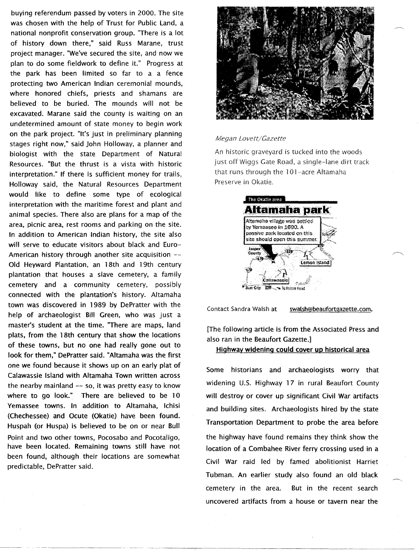buying referendum passed by voters in 2000. The site was chosen with the help of Trust for Public Land, a national nonprofit conservation group. 'There is a lot of history down there," said Russ Marane, trust project manager. "We've secured the site, and now we plan to do some fieldwork to define it." Progress at the park has been limited so far to a a fence protecting two American Indian ceremonial mounds, where honored chiefs, priests and shamans are believed to be buried. The mounds will not be excavated. Marane said the county is waiting on an undetermined amount of state money to begin work on the park project. "It's just in preliminary planning stages right now," said John Holloway, a planner and biologist with the state Department of Natural Resources. "But the thrust is a vista with historic interpretation." If there is sufficient money for trails, Holloway said, the Natural Resources Department would like to define some type of ecological interpretation with the maritime forest and plant and animal species.There also are plans for a map of the area, picnic area, rest rooms and parking on the site. In addition to American Indian history, the site also will serve to educate visitors about black and Euro-American history through another site acquisition -- Old Heyward Plantation, an 18th and 19th century plantation that houses a slave cemetery, a family cemetery and a community cemetery, possibly connected with the plantation's history. Altamaha town was discovered in 1989 by DePratter with the help of archaeologist Bill Green, who was just a master's student at the time. 'There are maps, land plats, from the 18th century that show the locations of these towns, but no one had really gone out to look for them," DePratter said. "Altamaha was the first one we found because it shows up on an early plat of Calawassie Island with Altamaha Town written across the nearby mainland  $-$  so, it was pretty easy to know where to go look." There are believed to be 10 Yemassee towns. In addition to Altamaha, Ichisi (Chechessee) and Ocute (Okatie) have been found. Huspah (or Huspa) is believed to be on or near Bull Point and two other towns, Pocosabo and Pocotaligo, have been located. Remaining towns still have not been found, although their locations are somewhat predictable, DePratter said.



### *Megan Lovett/Gazette*

An historic graveyard is tucked into the woods just off Wiggs Gate Road, a single-lane dirt track that runs through the 101-acre Altamaha Preserve in Okatie.

| The Okasin area                                                                                                       |  |
|-----------------------------------------------------------------------------------------------------------------------|--|
| Altamaha park                                                                                                         |  |
| Atamaha vilage was settled<br>by Yemassee in 1690. A<br>passive park lecated on this<br>site should open this summer. |  |
| la stan<br>Cousty<br>Lemon Istan                                                                                      |  |
| ic Hata Ba                                                                                                            |  |

Contact Sandra Walsh at

swalsh@beaufortgazette.com.

[The following article is from the Associated Press and also ran in the Beaufort Gazette.]

Highway widening could cover up historical area

Some historians and archaeologists worry that widening U.S. Highway 17 in rural Beaufort County will destroy or cover up significant Civil War artifacts and building sites. Archaeologists hired by the state Transportation Department to probe the area before the highway have found remains they think show the location of a Combahee River ferry crossing used in a Civil War raid led by famed abolitionist Harriet Tubman. An earlier study also found an old black cemetery in the area. But in the recent search uncovered artifacts from a house or tavern near the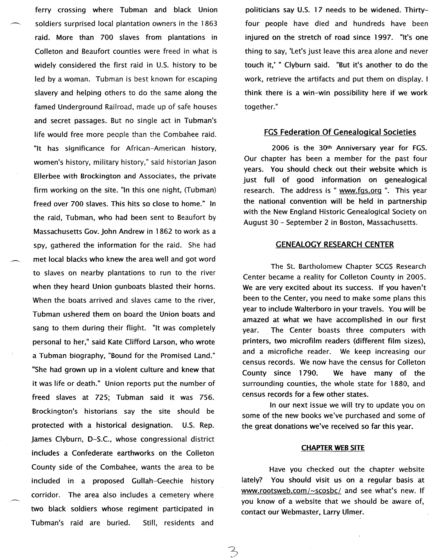ferry crossing where Tubman and black Union soldiers surprised local plantation owners in the 1863 raid. More than 700 slaves from plantations in Colleton and Beaufort counties were freed in what is widely considered the first raid in U.S. history to be led by a woman. Tubman is best known for escaping slavery and helping others to do the same along the famed Underground Railroad, made up of safe houses and secret passages. But no single act in Tubman's life would free more people than the Combahee raid. "It has significance for African-American history, women's history, military history," said historian Jason Ellerbee with Brockington and Associates, the private firm working on the site. "In this one night, (Tubman) freed over 700 slaves. This hits so close to home." In the raid, Tubman, who had been sent to Beaufort by Massachusetts Gov. John Andrew in 1862 to work as a spy, gathered the information for the raid. She had met local blacks who knew the area well and got word to slaves on nearby plantations to run to the river when they heard Union gunboats blasted their horns. When the boats arrived and slaves came to the river, Tubman ushered them on board the Union boats and sang to them during their flight. "It was completely personal to her," said Kate Clifford Larson, who wrote a Tubman biography, "Bound for the Promised Land." "She had grown up in a violent culture and knew that it was life or death." Union reports put the number of freed slaves at 725; Tubman said it was 756. Brockington's historians say the site should be protected with a historical designation. U.S. Rep. James Clyburn, D-S.C., whose congressional district includes a Confederate earthworks on the Colleton County side of the Combahee, wants the area to be included in a proposed Gullah-Geechie history corridor. The area also includes a cemetery where two black soldiers whose regiment participated in Tubman's raid are buried. Still, residents and

politicians say U.S. 17 needs to be widened. Thirtyfour people have died and hundreds have been injured on the stretch of road since 1997. "It's one thing to say, 'Let's just leave this area alone and never touch it,' " Clyburn said. "But it's another to do the work, retrieve the artifacts and put them on display. I think there is a win-win possibility here if we work together."

# **FGS Federation Of Genealogical Societies**

2006 is the 30th Anniversary year for FGS. Our chapter has been a member for the past four years. You should check out their website which is just full of good information on genealogical research. The address is "www.fgs.org". This year the national convention will be held in partnership with the New England Historic Genealogical Society on August 30 - September 2 in Boston, Massachusetts.

### **GENEALOGY RESEARCH CENTER**

The St. Bartholomew Chapter SCGS Research Center became a reality for Colleton County in 2005. We are very excited about its success. If you haven't been to the Center, you need to make some plans this year to include Walterboro in your travels. You will be amazed at what we have accomplished in our first year. The Center boasts three computers with printers, two microfilm readers (different film sizes), and a microfiche reader. We keep increasing our census records. We now have the census for Colleton County since 1790. We have many of the surrounding counties, the whole state for 1880, and census records for a few other states.

In our next issue we will try to update you on some of the new books we've purchased and some of the great donations we've received so far this year.

# **CHAPTER WEB** SITE

Have you checked out the chapter website lately? You should visit us on a regular basis at www.rootsweb.com/~scosbc/ and see what's new. If you know of a website that we should be aware of, contact our Webmaster, Larry Ulmer.

3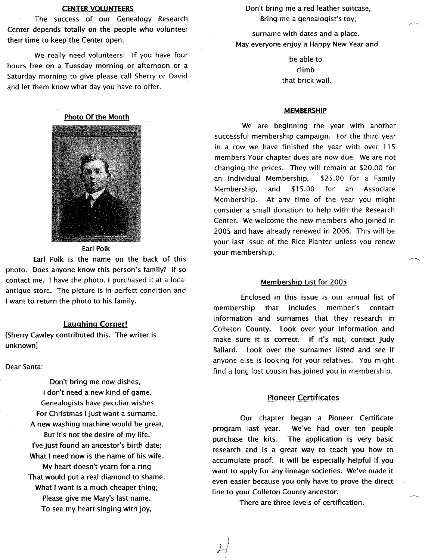# **CENTER VOLUNTEERS**

The success of our Genealogy Research Center depends totally on the people who volunteer their time to keep the Center open.

We really need volunteers! If you have four hours free on a Tuesday morning or afternoon or a Saturday morning to give please call Sherry or David and let them know what day you have to offer.

# Photo Of the Month



Earl Polk

Earl Polk is the name on the back of this photo. Does anyone know this person's family? If so contact me. I have the photo. I purchased it at a local antique store. The picture is in perfect condition and I want to return the photo to his family.

# laughing Corner!

[Sherry Cawley contributed this. The writer is unknown]

Dear Santa:

Don't bring me new dishes, I don't need a new kind of game. Genealogists have peculiar wishes For Christmas I just want a surname. A new washing machine would be great, But it's not the desire of my life. I've just found an ancestor's birth date; What I need now is the name of his wife. My heart doesn't yearn for a ring That would put a real diamond to shame. What I want is a much cheaper thing; Please give me Mary's last name. To see my heart singing with joy,

Don't bring me a red leather suitcase, Bring me a genealogist's toy;

surname with dates and a place. May everyone enjoy a Happy New Year and

> be able to climb that brick wall.

### MEMBERSHIP

We are beginning the year with another successful membership campaign. For the third year in a row we have finished the year with over 115 members Your chapter dues are now due. We are not changing the prices. They will remain at \$20.00 for an Individual Membership, \$25.00 for a Family Membership, and \$15.00 for an Associate Membership. At any time of the year you might consider a small donation to help with the Research Center. We welcome the new members who joined in 2005 and have already renewed in 2006. This will be your last issue of the Rice Planter unless you renew your membership.

### Membership list for 2005

Enclosed in this issue is our annual list of membership that includes member's contact information and surnames that they research in Colleton County. Look over your information and make sure it is correct. If it's not, contact Judy Ballard. Look over the surnames listed and see if anyone else is looking for your relatives. You might find a long lost cousin has joined you in membership.

### Pioneer Certificates

Our chapter began a Pioneer Certificate program last year. We've had over ten people purchase the kits. The application is very basic research and is a great way to teach you how to accumulate proof. It will be especially helpful if you want to apply for any lineage societies. We've made it even easier because you only have to prove the direct line to your Colleton County ancestor.

There are three levels of certification.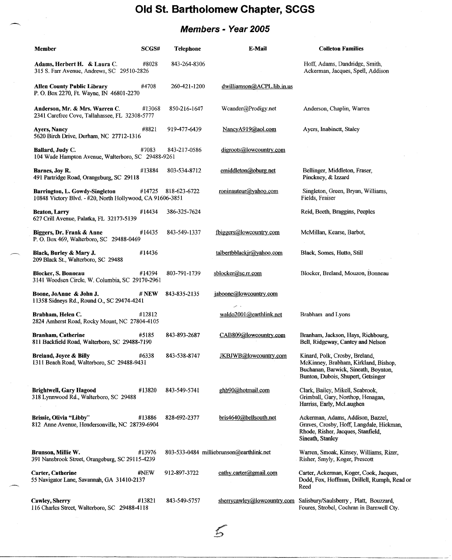# **Old St. Bartholomew Chapter, SCGS**

# **Members - Year 2005**

| Member                                                                                      | SCGS#   | <b>Telephone</b> | E-Mail                                   | <b>Colleton Families</b>                                                                                                                             |
|---------------------------------------------------------------------------------------------|---------|------------------|------------------------------------------|------------------------------------------------------------------------------------------------------------------------------------------------------|
| Adams, Herbert H. & Laura C.<br>315 S. Farr Avenue, Andrews, SC 29510-2826                  | #8028   | 843-264-8306     |                                          | Hoff, Adams, Dandridge, Smith,<br>Ackerman, Jacques, Spell, Addison                                                                                  |
| Allen County Public Library<br>P. O. Box 2270, Ft. Wayne, IN 46801-2270                     | #4708   | 260-421-1200     | dwilliamson@ACPL.lib.in.us               |                                                                                                                                                      |
| Anderson, Mr. & Mrs. Warren C.<br>2341 Carefree Cove, Tallahassee, FL 32308-5777            | #13068  | 850-216-1647     | Wcander@Prodigy.net                      | Anderson, Chaplin, Warren                                                                                                                            |
| <b>Avers, Nancy</b><br>5620 Birch Drive, Durham, NC 27712-1316                              | #8821   | 919-477-6439     | NancyA919@aol.com                        | Ayers, Inabinett, Staley                                                                                                                             |
| Ballard, Judy C.<br>104 Wade Hampton Avenue, Walterboro, SC 29488-9261                      | #7083   | 843-217-0586     | digroots@lowcountry.com                  |                                                                                                                                                      |
| Barnes, Joy R.<br>491 Partridge Road, Orangeburg, SC 29118                                  | #13884  | 803-534-8712     | emiddleton@oburg.net                     | Bellinger, Middleton, Fraser,<br>Pinckney, & Izzard                                                                                                  |
| Barrington, L. Gowdy-Singleton<br>10848 Victory Blvd. - #20, North Hollywood, CA 91606-3851 | #14725  | 818-623-6722     | roninauteur@yahoo.com                    | Singleton, Green, Bryan, Williams,<br>Fields, Fraiser                                                                                                |
| <b>Beaton, Larry</b><br>627 Crill Avenue, Palatka, FL 32177-5139                            | #14434  | 386-325-7624     |                                          | Reid, Beeth, Braggins, Peeples                                                                                                                       |
| Biggers, Dr. Frank & Anne<br>P. O. Box 469, Walterboro, SC 29488-0469                       | #14435  | 843-549-1337     | fbiggers@lowcountry.com                  | McMillan, Kearse, Barbot,                                                                                                                            |
| Black, Burley & Mary J.<br>209 Black St., Walterboro, SC 29488                              | #14436  |                  | talbertbblackjr@yahoo.com                | Black, Somes, Hutto, Still                                                                                                                           |
| <b>Blocker, S. Bonneau</b><br>3141 Woodsen Circle, W. Columbia, SC 29170-2961               | #14394  | 803-791-1739     | sblocker@sc.rr.com                       | Blocker, Breland, Mouzon, Bonneau                                                                                                                    |
| Boone, JoAnne & John J.<br>11358 Sidneys Rd., Round O., SC 29474-4241                       | # $NEW$ | 843-835-2135     | jaboone@lowcountry.com                   |                                                                                                                                                      |
| Brabham, Helen C.<br>2824 Amherst Road, Rocky Mount, NC 27804-4105                          | #12812  |                  | waldo2001@earthlink.net                  | Brabham and Lyons                                                                                                                                    |
| <b>Branham, Catherine</b><br>811 Backfield Road, Walterboro, SC 29488-7190                  | #5185   | 843-893-2687     | CAB809@lowcountry.com                    | Branham, Jackson, Hays, Richbourg,<br>Bell, Ridgeway, Cantey and Nelson                                                                              |
| Breland, Joyce & Billy<br>1311 Beach Road, Walterboro, SC 29488-9431                        | #6338   | 843-538-8747     | JKBJWB@lowcountry.com                    | Kinard, Polk, Crosby, Breland,<br>McKinney, Brabham, Kirkland, Bishop,<br>Buchanan, Barwick, Sineath, Boynton,<br>Bunton, Dubois, Shupert, Getsinger |
| <b>Brightwell, Gary Hagood</b><br>318 Lynnwood Rd., Walterboro, SC 29488                    | #13820  | 843-549-5741     | ghb90@hotmail.com                        | Clark, Bailey, Mikell, Seabrook,<br>Grimball, Gary, Northop, Henagan,<br>Harriss, Early, McLaughen                                                   |
| <b>Brissie, Olivia "Libby"</b><br>812 Anne Avenue, Hendersonville, NC 28739-6904            | #13886  | 828-692-2377     | bris4640@bellsouth.net                   | Ackerman, Adams, Addison, Bazzel,<br>Graves, Crosby, Hoff, Langdale, Hickman,<br>Rhode, Risher, Jacques, Stanfield,<br>Sineath, Stanley              |
| Brunson, Millie W.<br>391 Nansbrook Street, Orangeburg, SC 29115-4239                       | #13976  |                  | 803-533-0484 milliebrunson@earthlink.net | Warren, Smoak, Kinsey, Williams, Rizer,<br>Risher, Smyly, Koger, Prescott                                                                            |
| Carter, Catherine<br>55 Navigator Lane, Savannah, GA 31410-2137                             | #NEW    | 912-897-3722     | cathy.carter@gmail.com                   | Carter, Ackerman, Koger, Cook, Jacques,<br>Dodd, Fox, Hoffman, Drillell, Rumph, Read of<br>Reed                                                      |
| Cawley, Sherry<br>116 Charles Street, Walterboro, SC 29488-4118                             | #13821  | 843-549-5757     | sherrycawley@lowcountry.com              | Salisbury/Saulsberry, Platt, Bouzzard,<br>Foures, Strobel, Cochran in Barnwell Cty.                                                                  |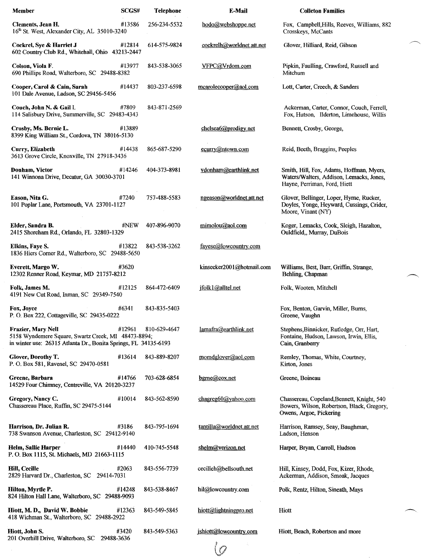| <b>Member</b>                                                                                                                                       | SCGS#               | <b>Telephone</b> | E-Mail                    | <b>Colleton Families</b>                                                                                             |
|-----------------------------------------------------------------------------------------------------------------------------------------------------|---------------------|------------------|---------------------------|----------------------------------------------------------------------------------------------------------------------|
| Clements, Jean H.<br>16th St. West, Alexander City, AL 35010-3240                                                                                   | #13586              | 256-234-5532     | hodo@webshoppe.net        | Fox, Campbell, Hills, Reeves, Williams, 882<br>Crosskeys, McCants                                                    |
| Cockrel, Sye & Harriet J<br>602 Country Club Rd., Whitehall, Ohio 43213-2447                                                                        | #12814              | 614-575-9824     | cockrelh@worldnet.att.net | Glover, Hilliard, Reid, Gibson                                                                                       |
| Colson, Viola F.<br>690 Phillips Road, Walterboro, SC 29488-8382                                                                                    | #13977              | 843-538-3065     | VFPC@Vrdom.com            | Pipkin, Faulling, Crawford, Russell and<br>Mitchum                                                                   |
| Cooper, Carol & Cain, Sarah<br>101 Dale Avenue, Ladson, SC 29456-5456                                                                               | #14437              | 803-237-6598     | mearolecooper@aol.com     | Lott, Carter, Creech, & Sanders                                                                                      |
| Couch, John N. & Gail I.<br>114 Salisbury Drive, Summerville, SC 29483-4343                                                                         | #7809               | 843-871-2569     |                           | Ackerman, Carter, Connor, Couch, Ferrell,<br>Fox, Hutson, Ilderton, Limehouse, Willis                                |
| Crosby, Ms. Bernie L.<br>8399 King William St., Cordova, TN 38016-5130                                                                              | #13889              |                  | chelsea6@prodigy.net      | Bennett, Crosby, George,                                                                                             |
| Curry, Elizabeth<br>3613 Grove Circle, Knoxville, TN 27918-3436                                                                                     | #14438              | 865-687-5290     | ecurry@ntown.com          | Reid, Beeth, Braggins, Peeples                                                                                       |
| Donham, Victor<br>141 Winnona Drive, Decatur, GA 30030-3701                                                                                         | #14246              | 404-373-8981     | vdonham@earthlink.net     | Smith, Hill, Fox, Adams, Hoffman, Myers,<br>Waters/Walters, Addison, Lemacks, Jones,<br>Hayne, Perriman, Ford, Hiett |
| Eason, Nita G.<br>101 Poplar Lane, Portsmouth, VA 23701-1127                                                                                        | #7240               | 757-488-5583     | ngeason@worldnet.att.net  | Glover, Bellinger, Loper, Hyrne, Rucker,<br>Doyles, Yonge, Heyward, Cussings, Crider,<br>Moore, Vinant (NY)          |
| Elder, Sandra B.<br>2415 Shoreham Rd., Orlando, FL 32803-1329                                                                                       | #NEW                | 407-896-9070     | mimolou@aol.com           | Koger, Lemacks, Cook, Sleigh, Hazalton,<br>Ouldfield, Murray, DuBois                                                 |
| Elkins, Faye S.<br>1836 Hiers Corner Rd., Walterboro, SC 29488-5650                                                                                 | #13822              | 843-538-3262     | fayese@lowcountry.com     |                                                                                                                      |
| Everett, Margo W.<br>12302 Renner Road, Keymar, MD 21757-8212                                                                                       | #3620               |                  | kinseeker2001@hotmail.com | Williams, Best, Barr, Griffin, Strange,<br>Behling, Chapman                                                          |
| Folk, James M.<br>4191 New Cut Road, Inman, SC 29349-7540                                                                                           | #12125              | 864-472-6409     | jfolk1@alltel.net         | Folk, Wooten, Mitchell                                                                                               |
| Fox, Joyce<br>P. O. Box 222, Cottageville, SC 29435-0222                                                                                            | #6341               | 843-835-5403     |                           | Fox, Benton, Garvin, Miller, Burns,<br>Greene, Vaughn                                                                |
| <b>Frazier, Mary Nell</b><br>5158 Wyndemere Square, Swartz Creek, MI 48473-8894;<br>in winter use: 26315 Atlanta Dr., Bonita Springs, FL 34135-6193 | #12961              | 810-629-4647     | lamafra@earthlink.net     | Stephens, Binnicker, Rutledge, Orr, Hart,<br>Fontaine, Hudson, Lawson, Irwin, Ellis,<br>Cain, Granberry              |
| Glover, Dorothy T.<br>P. O. Box 581, Ravenel, SC 29470-0581                                                                                         | #13614              | 843-889-8207     | momdglover@aol.com        | Remley, Thomas, White, Courtney,<br>Kirton, Jones                                                                    |
| Greene, Barbara<br>14529 Four Chimney, Centreville, VA 20120-3237                                                                                   | #14766              | 703-628-6854     | $b$ grne@cox.net          | Greene, Boineau                                                                                                      |
| Gregory, Nancy C.<br>Chassereau Place, Ruffin, SC 29475-5144                                                                                        | #10014              | 843-562-8590     | chagreg $60$ @yahoo.com   | Chassereau, Copeland, Bennett, Knight, 540<br>Bowers, Wilson, Robertson, Black, Gregory,<br>Owens, Argoe, Pickering  |
| Harrison, Dr. Julian R.<br>738 Swanson Avenue, Charleston, SC 29412-9140                                                                            | #3186               | 843-795-1694     | tantilla@wordnet:att.net  | Harrison, Ramsey, Seay, Baughman,<br>Ladson, Henson                                                                  |
| Helm, Sallie Harper<br>P. O. Box 1115, St. Michaels, MD 21663-1115                                                                                  | #14440              | 410-745-5548     | shelm@verizon.net         | Harper, Bryan, Carroll, Hudson                                                                                       |
| Hill, Cecille<br>2829 Harvard Dr., Charleston, SC 29414-7031                                                                                        | #2063               | 843-556-7739     | cecilleh@bellsouth.net    | Hill, Kinsey, Dodd, Fox, Kizer, Rhode,<br>Ackerman, Addison, Smoak, Jacques                                          |
| Hilton, Myrtle P.<br>824 Hilton Hall Lane, Walterboro, SC 29488-9093                                                                                | #14248              | 843-538-8467     | hil@lowcountry.com        | Polk, Rentz, Hilton, Sineath, Mays                                                                                   |
| Hiott, M. D., David W. Bobbie<br>418 Wichman St., Walterboro, SC 29488-2922                                                                         | #12363              | 843-549-5845     | hiott@lightningpro.net    | Hiott                                                                                                                |
| Hiott, John S.<br>201 Overhill Drive, Walterboro, SC                                                                                                | #3420<br>29488-3636 | 843-549-5363     | jshiott@lowcountry.com    | Hiott, Beach, Robertson and more                                                                                     |

 $\varphi$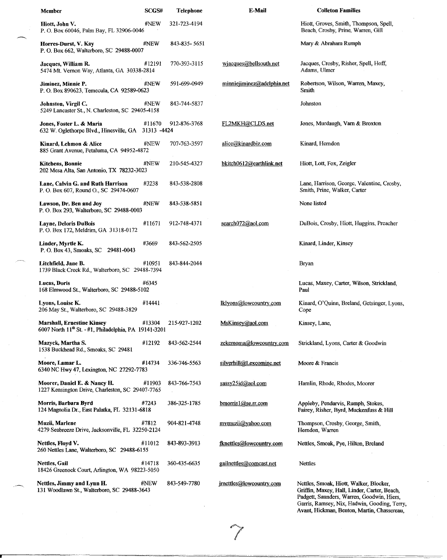| Member                                                                                                 | SCGS#  | <b>Telephone</b> | E-Mail                            | <b>Colleton Families</b>                                                                                                              |
|--------------------------------------------------------------------------------------------------------|--------|------------------|-----------------------------------|---------------------------------------------------------------------------------------------------------------------------------------|
| Hiott, John V.<br>P. O. Box 60046, Palm Bay, FL 32906-0046                                             | #NEW   | 321-723-4194     |                                   | Hiott, Groves, Smith, Thompson, Spell,<br>Beach, Crosby, Prine, Warren, Gill                                                          |
| Horres-Durst, V. Kay<br>P. O. Box 662, Walterboro, SC 29488-0007                                       | #NEW   | 843-835-5651     |                                   | Mary & Abraham Rumph                                                                                                                  |
| Jacques, William R.<br>5474 Mt. Vernon Way, Atlanta, GA 30338-2814                                     | #12191 | 770-393-3115     | wjacaues@bell south.net           | Jacques, Crosby, Risher, Spell, Hoff,<br>Adams, Ulmer                                                                                 |
| Jiminez, Minnie P.<br>P. O. Box 890623, Temecula, CA 92589-0623                                        | #NEW   | 591-699-0949     | $minn$ iejiminez $@$ adelphia.net | Robertson, Wilson, Warren, Maxey,<br>Smith                                                                                            |
| Johnston, Virgil C.<br>5249 Lancaster St., N. Charleston, SC 29405-4158                                | #NEW   | 843-744-5837     |                                   | Johnston                                                                                                                              |
| Jones, Foster L. & Maria<br>632 W. Oglethorpe Blvd., Hinesville, GA 31313 -4424                        | #11670 | 912-876-3768     | FL2MKH@CLDS.net                   | Jones, Murdaugh, Varn & Broxton                                                                                                       |
| Kinard, Lehmon & Alice<br>885 Grant Avenue, Petaluma, CA 94952-4872                                    | #NEW   | 707-763-3597     | alice@kinardbiz.com               | Kinard, Herndon                                                                                                                       |
| Kitchens, Bonnie<br>202 Mesa Alta, San Antonio, TX 78232-3023                                          | #NEW   | 210-545-4327     | bkitch0612@earthlink.net          | Hiott, Lott, Fox, Zeigler                                                                                                             |
| Lane, Calvin G. and Ruth Harrison<br>P. O. Box 607, Round O., SC 29474-0607                            | #3238  | 843-538-2808     |                                   | Lane, Harrison, George, Valentine, Crosby,<br>Smith, Prine, Walker, Carter                                                            |
| Lawson, Dr. Ben and Joy<br>P. O. Box 293, Walterboro, SC 29488-0003                                    | #NEW   | 843-538-5851     |                                   | None listed                                                                                                                           |
| Layne, Deloris DuBois<br>P. O. Box 172, Meldrim, GA 31318-0172                                         | #11671 | 912-748-4371     | search072@aol.com                 | DuBois, Crosby, Hiott, Huggins, Preacher                                                                                              |
| Linder, Myrtle K.<br>P. O. Box 43, Smoaks, SC 29481-0043                                               | #3669  | 843-562-2505     |                                   | Kinard, Linder, Kinsey                                                                                                                |
| Litchfield, Jane B.<br>1739 Black Creek Rd., Walterboro, SC 29488-7394                                 | #10951 | 843-844-2044     |                                   | Bryan                                                                                                                                 |
| <b>Lucas, Doris</b><br>168 Elmwood St., Walterboro, SC 29488-5102                                      | #6345  |                  |                                   | Lucas, Maxey, Carter, Wilson, Strickland,<br>Paul                                                                                     |
| Lyons, Louise K.<br>206 May St., Walterboro, SC 29488-3829                                             | #14441 |                  | lklyons@lowcountry.com            | Kinard, O'Quinn, Breland, Getsinger, Lyons,<br>Cope                                                                                   |
| <b>Marshall, Ernestine Kinsey</b><br>6007 North 11 <sup>th</sup> St. - #1, Philadelphia, PA 19141-3201 | #13304 | 215-927-1202     | MsKinsey@aol.com                  | Kinsey, Lane,                                                                                                                         |
| Mazyck, Martha S.<br>1538 Buckhead Rd., Smoaks, SC 29481                                               | #12192 | 843-562-2544     | zekemoma@lowcountry.com           | Strickland, Lyons, Carter & Goodwin                                                                                                   |
| Moore, Lamar L.<br>6340 NC Hwy 47, Lexington, NC 27292-7783                                            | #14734 | 336-746-5563     | silverhill@Lexcominc.net          | Moore & Francis                                                                                                                       |
| Moorer, Daniel E. & Nancy H.<br>1227 Kensington Drive, Charleston, SC 29407-7765                       | #11903 | 843-766-7543     | sassy25id@aol.com                 | Hamlin, Rhode, Rhodes, Moorer                                                                                                         |
| Morris, Barbara Byrd<br>124 Magnolia Dr., East Palatka, FL 32131-6818                                  | #7243  | 386-325-1785     | bmorris1@se.rr.com                | Appleby, Pendarvis, Rumph, Stokes,<br>Fairey, Risher, Byrd, Muckenfuss & Hill                                                         |
| Muzii, Marlene<br>4279 Seabreeze Drive, Jacksonville, FL 32250-2124                                    | #7812  | 904-821-4748     | mymuzij@yahoo.com                 | Thompson, Crosby, George, Smith,<br>Herndon, Warren                                                                                   |
| Nettles, Floyd V.<br>260 Nettles Lane, Walterboro, SC 29488-6155                                       | #11012 | 843-893-3913     | fknettles@lowcountry.com          | Nettles, Smoak, Pye, Hilton, Breland                                                                                                  |
| <b>Nettles, Gail</b><br>18426 Greenock Court, Arlington, WA 98223-5050                                 | #14718 | 360-435-6635     | gailnettles@comcast.net           | <b>Nettles</b>                                                                                                                        |
| Nettles, Jimmy and Lynn H.<br>131 Woodlawn St., Walterboro, SC 29488-3643                              | #NEW   | 843-549-7780     | irnettles@lowcountry.com          | Nettles, Smoak, Hiott, Walker, Blocker,<br>Griffin, Maxey, Hall, Linder, Carter, Beach,<br>Padgett, Saunders, Warren, Goodwin, Hiers, |

a karang Kabupatèn Kabupatèn Kabupatèn Kabupatèn Kabupatèn Kabupatèn Kabupatèn Kabupatèn Kabupatèn Kabupatèn K<br>Kabupatèn Kabupatèn Kabupatèn Kabupatèn Kabupatèn Kabupatèn Kabupatèn Kabupatèn Kabupatèn Kabupatèn Kabupatèn

Garris, Ramsey, Nix, Hadwin, Gooding, Terry, Avant, Hickman, Benton, Martin, Chassereau,

-------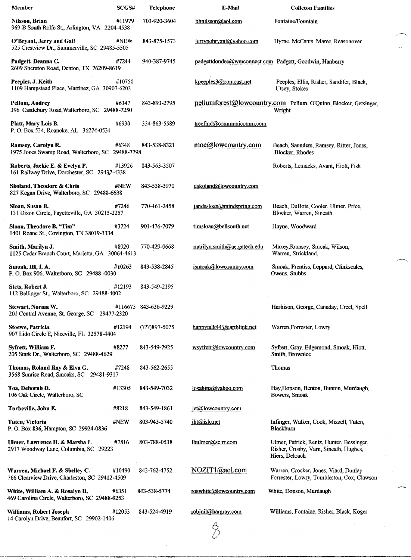| Member                                                                            | SCGS#  | Telephone            | E-Mail                      | <b>Colleton Families</b>                                                                              |
|-----------------------------------------------------------------------------------|--------|----------------------|-----------------------------|-------------------------------------------------------------------------------------------------------|
| Nilsson, Brian<br>969-B South Rolfe St., Arlington, VA 2204-4538                  | #11979 | 703-920-3604         | bhnilsson@aol.com           | Fontaine/Fountain                                                                                     |
| O'Bryant, Jerry and Gail<br>525 Crestview Dr., Summerville, SC 29485-5505         | #NEW   | 843-875-1573         | jerrypobryant@yahoo.com     | Hyrne, McCants, Maree, Reasonover                                                                     |
| Padgett, Deanna C.<br>2609 Sheraton Road, Denton, TX 76209-8619                   | #7244  | 940-387-9745         |                             | padgettdondee@wmconnect.com Padgett, Goodwin, Hanberry                                                |
| Peeples, J. Keith<br>1109 Hampstead Place, Martinez, GA 30907-6203                | #10750 |                      | kpeeples3@comcast.net       | Peeples, Ellis, Risher, Sandifer, Black,<br>Utsey, Stokes                                             |
| <b>Pellum, Audrey</b><br>396 Castlebury Road, Walterboro, SC 29488-7250           | #6347  | 843-893-2795         |                             | pellumforest@lowcountry.com Pellum, O'Quinn, Blocker, Getsinger,<br>Wright                            |
| Platt, Mary Lois B.<br>P. O. Box 534, Roanoke, AL 36274-0534                      | #6930  | 334-863-5589         | treefind@communicomm.com    |                                                                                                       |
| Ramsey, Carolyn R.<br>1975 Jones Swamp Road, Walterboro, SC 29488-7798            | #6348  | 843-538-8321         | moe@lowcountry.com          | Beach, Saunders, Ramsey, Ritter, Jones,<br>Blocker, Rhodes                                            |
| Roberts, Jackie E. & Evelyn P.<br>161 Railway Drive, Dorchester, SC 29437-4338    | #13926 | 843-563-3507         |                             | Roberts, Lemacks, Avant, Hiott, Fisk                                                                  |
| Skoland, Theodore & Chris<br>827 Kegan Drive, Walterboro, SC 29488-6638           | #NEW   | 843-538-3970         | dskoland@lowcountry.com     |                                                                                                       |
| Sloan, Susan B.<br>131 Dixon Circle, Fayetteville, GA 30215-2257                  | #7246  | 770-461-2458         | jandssloan@mindspring.com   | Beach, DuBois, Cooler, Ulmer, Price,<br>Blocker, Warren, Sineath                                      |
| Sloan, Theodore B. "Tim"<br>1401 Roane St., Covington, TN 38019-3334              | #3724  | 901-476-7079         | timsloan@bellsouth.net      | Hayne, Woodward                                                                                       |
| Smith, Marilyn J.<br>1125 Cedar Branch Court, Marietta, GA 30064-4613             | #8920  | 770-429-0668         | marilyn.smith@ae.gatech.edu | Maxey, Ramsey, Smoak, Wilson,<br>Warren, Strickland,                                                  |
| Smoak, III, I.A.<br>P. O. Box 906, Walterboro, SC 29488 -0030                     | #10263 | 843-538-2845         | ismoak@lowcountry.com       | Smoak, Prentiss, Leppard, Clinkscales,<br>Owens, Stubbs                                               |
| Stets, Robert J.<br>112 Bellinger St., Walterboro, SC 29488-4002                  | #12193 | 843-549-2195         |                             |                                                                                                       |
| Stewart, Norma W.<br>201 Central Avenue, St. George, SC 29477-2320                |        | #116673 843-636-9229 |                             | Harbison, George, Canaday, Creel, Spell                                                               |
| Stoewe, Patricia.<br>907 Lido Circle E, Niceville, FL 32578-4404                  | #12194 | (???)897-5075        | happytalk44@earthlink.net   | Warren, Forrester, Lowry                                                                              |
| Svfrett, William F.<br>205 Stark Dr., Walterboro, SC 29488-4629                   | #8277  | 843-549-7925         | wsyfrett@lowcountry.com     | Syfrett, Gray, Edgemond, Smoak, Hiott,<br>Smith, Brownlee                                             |
| Thomas, Roland Ray & Elva G.<br>3568 Sunrise Road, Smoaks, SC 29481-9317          | #7248  | 843-562-2655         |                             | Thomas                                                                                                |
| Toa, Deborah D.<br>106 Oak Circle, Walterboro, SC                                 | #13305 | 843-549-7032         | losahina@yahoo.com          | Hay, Dopson, Benton, Bunton, Murdaugh,<br>Bowers, Smoak                                               |
| Turbeville, John E.                                                               | #8218  | 843-549-1861         | $jet@$ lowcountry.com       |                                                                                                       |
| Tuten, Victoria<br>P. O. Box 836, Hampton, SC 29924-0836                          | #NEW   | 803-943-5740         | iht@islc.net                | Infinger, Walker, Cook, Mizzell, Tuten,<br><b>Blackburn</b>                                           |
| Ulmer, Lawrence H. & Marsha L.<br>2917 Woodway Lane, Columbia, SC 29223           | #7816  | 803-788-0538         | $l$ hulmer@sc.rr.com        | Ulmer, Patrick, Rentz, Hunter, Bessinger,<br>Risher, Crosby, Varn, Sineath, Hughes,<br>Hiers, Deloach |
| Warren, Michael F. & Shelley C.<br>766 Clearview Drive, Charleston, SC 29412-4509 | #10490 | 843-762-4752         | NOZIT1@aol.com              | Warren, Crocker, Jones, Viard, Dunlap<br>Forrester, Lowry, Tumbleston, Cox, Clawson                   |
| White, William A. & Rosalyn D.<br>469 Carolina Circle, Walterboro, SC 29488-9253  | #6351  | 843-538-5774         | roswhite@lowcountry.com     | White, Dopson, Murdaugh                                                                               |
| Williams, Robert Joseph<br>14 Carolyn Drive, Beaufort, SC 29902-1406              | #12053 | 843-524-4919         | robjnil@hargray.com         | Williams, Fontaine, Risher, Black, Koger                                                              |
|                                                                                   |        |                      |                             |                                                                                                       |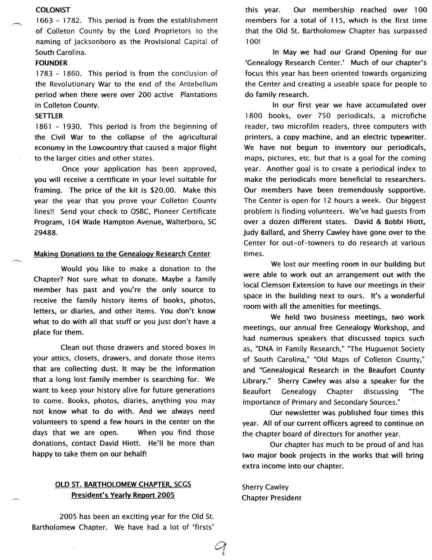### **COLONIST**

1663 - 1782. This period is from the establishment of Colleton County by the lord Proprietors to the naming of Jacksonboro as the Provisional Capital of South Carolina.

# FOUNDER

1783 - 1860. This period is from the conclusion of the Revolutionary War to the end of the Antebellum period when there were over 200 active Plantations in Colleton County.

#### **SETTLER**

1861 - 1930. This period is from the beginning of the Civil War to the collapse of the agricultural economy in the lowcountry that caused a major flight to the larger cities and other states.

Once your application has been approved, you will receive a certificate in your level suitable for framing. The price of the kit is \$20.00. Make this year the year that you prove your Colleton County lines!! Send your check to OSBC, Pioneer Certificate Program, 104 Wade Hampton Avenue, Walterboro, SC 29488.

### Making Donations to the Genealogy Research Center

Would you like to make a donation to the Chapter? Not sure what to donate. Maybe a family member has past and you're the only source to receive the family history items of books, photos, letters, or diaries, and other items. You don't know what to do with all that stuff or you just don't have a place for them.

Clean out those drawers and stored boxes in your attics, closets, drawers, and donate those items that are collecting dust. It may be the information that a long lost family member is searching for. We want to keep your history alive for future generations to come. Books, photos, diaries, anything you may not know what to do with. And we always need volunteers to spend a few hours in the center on the days that we are open. When you find those donations, contact David Hiott. He'll be more than happy to take them on our behalf!

# OLD ST. BARTHOLOMEW CHAPTER, SCGS President's Yearly Report 2005

2005 has been an exciting year for the Old St. Bartholomew Chapter. We have had a lot of 'firsts' this year. Our membership reached over 100 members for a total of 115, which is the first time that the Old St. Bartholomew Chapter has surpassed 100!

In May we had our Grand Opening for our 'Genealogy Research Center.' Much of our chapter's focus this year has been oriented towards organizing the Center and creating a useable space for people to do family research.

In our first year we have accumulated over 1800 books, over 750 periodicals, a microfiche reader, two microfilm readers, three computers with printers, a copy machine, and an electric typewriter. We have not begun to inventory our periodicals, maps, pictures, etc. but that is a goal for the coming year. Another goal is to create a periodical index to make the periodicals more beneficial to researchers. Our members have been tremendously supportive. The Center is open for 12 hours a week. Our biggest problem is finding volunteers. We've had guests from over a dozen different states. David & Bobbi Hiott, Judy Ballard, and Sherry Cawley have gone over to the Center for out-of-towners to do research at various times.

We lost our meeting room in our building but were able to work out an arrangement out with the local Clemson Extension to have our meetings in their space in the building next to ours. It's a wonderful room with all the amenities for meetings.

We held two business meetings, two work meetings, our annual free Genealogy Workshop, and had numerous speakers that discussed topics such as, "DNA in Family Research," 'The Huguenot Society of South Carolina," "Old Maps of Colleton County," and "Genealogical Research in the Beaufort County library." Sherry Cawley was also a speaker for the Beaufort Genealogy Chapter discussing 'The Importance of Primary and Secondary Sources."

Our newsletter was published four times this year. All of our current officers agreed to continue on the chapter board of directors for another year.

Our chapter has much to be proud of and has two major book projects in the works that will bring extra income into our chapter.

Sherry Cawley Chapter President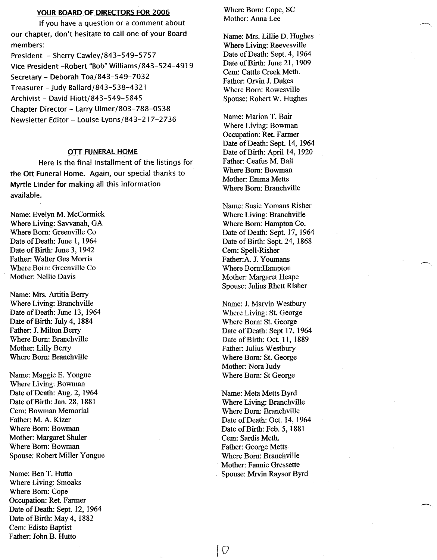### YOUR BOARD OF DIRECTORS FOR 2006

If you have a question or a comment about our chapter, don't hesitate to call one of your Board members:

President - Sherry Cawley/843-549-5757 Vice President -Robert "Bob" Williams/843-524-4919 Secretary - Deborah Toa/843-549-7032 Treasurer - Judy Ballard/843-538-4321 Archivist - David Hiott/843-549-5845 Chapter Director - Larry Ulmer/803-788-0538 Newsletter Editor - Louise Lyons/843-217-2736

### OTT FUNERAL HOME

Here is the final installment of the listings for the Ott Funeral Home. Again, our special thanks to Myrtle Linder for making all this information available.

Name: Evelyn M. McCormick Where Living: Savvanah, GA Where Born: Greenville Co Date of Death: June 1, 1964 Date of Birth: June 3, 1942 Father: Walter Gus Morris Where Born: Greenville Co Mother: Nellie Davis

Name: Mrs. Artitia Berry Where Living: Branchville Date of Death: June 13, 1964 Date of Birth: July 4, 1884 Father: J. Milton Berry Where Born: Branchville Mother: Lilly Berry Where Born: Branchville

Name: Maggie E. Yongue Where Living: Bowman Date of Death: Aug. 2,1964 Date of Birth: Jan. 28, 1881 Cern: Bowman Memorial Father: M. A. Kizer Where Born: Bowman Mother: Margaret Shuler Where Born: Bowman Spouse: Robert Miller Yongue

Name: Ben T. Hutto Where Living: Smoaks Where Born: Cope Occupation: Ret. Farmer Date of Death: Sept. 12, 1964 Date of Birth: May 4, 1882 Cern: Edisto Baptist Father: John B. Hutto

Where Born: Cope, SC Mother: Anna Lee

Name: Mrs. Lillie D. Hughes Where Living: Reevesville Date of Death: Sept.4, 1964 Date of Birth: June 21, 1909 Cern: Cattle Creek Meth. Father: Orvin J. Dukes Where Born: Rowesville Spouse: Robert W. Hughes

Name: Marion T. Bair Where Living: Bowman Occupation: Ret. Farmer Date of Death: Sept. 14, 1964 Date of Birth: April 14, 1920 Father: Ceafus M. Bait Where Born: Bowman Mother: Emma Metts Where Born: Branchville

Name: Susie Yomans Risher Where Living: Branchville Where Born: Hampton Co. Date of Death: Sept. 17, 1964 Date of Birth: Sept. 24, 1868 Cern: Spell-Risher Father:A. J. Youmans Where Born:Hampton Mother: Margaret Heape Spouse: Julius Rhett Risher

Name: 1. Marvin Westbury Where Living: St. George Where Born: St. George Date of Death: Sept 17, 1964 Date of Birth: Oct. 11, 1889 Father: Julius Westbury Where Born: St. George Mother: Nora Judy Where Born: St George

Name: Meta Metts Byrd Where Living: Branchville Where Born: Branchville Date of Death: Oct. 14, 1964 Date of Birth: Feb. 5, 1881 Cem: Sardis Meth. Father: George Metts Where Born: Branchville Mother: Fannie Gressette Spouse: Mrvin Raysor Byrd

[0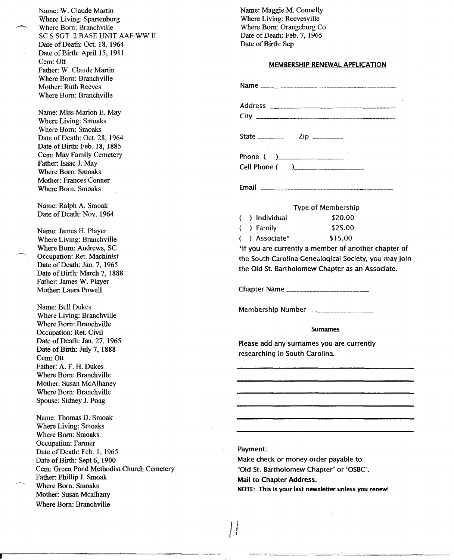Name: W. Claude Martin Where Living: Spartenburg Where Born: Branchville SC S SGT 2 BASE UNIT AAF WW II Date of Death: Oct. 18, 1964 Date of Birth: April 15, 1911 Cem: Ott Father: W. Claude Martin Where Born: Branchville Mother: Ruth Reeves Where Born: Branchville Name: Miss Marion E. May Where Living: Smoaks Where Born: Smoaks Date of Death: Oct. 28, 1964 Date of Birth: Feb. 18, 1885 Cem: May Family Cemetery Father: Isaac J. May Where Born: Smoaks Mother: Frances Conner Where Born: Smoaks Name: Ralph A. Smoak Date of Death: Nov. 1964 Name: James H. Player Where Living: Branchville Where Born: Andrews, SC Occupation: Ret. Machinist Date of Death: Jan. 7, 1965 Date of Birth: March 7, 1888

Name: Bell Dukes Where Living: Branchville Where Born: Branchville Occupation: Ret. Civil Date of Death: Jan. 27, 1965 Date of Birth: July 7, 1888 Cem: Ott Father: A. F. H. Dukes Where Born: Branchville Mother: Susan McAlhaney Where Born: Branchville Spouse: Sidney J. Poag

Father: James W. Player Mother: Laura Powell

Name: Thomas D. Smoak Where Living: Smoaks Where Born: Smoaks Occupation: Farmer Date of Death: Feb. 1, 1965 Date of Birth: Sept 6, 1900 Cern: Green Pond Methodist Church Cemetery Father: Phillip J. Smoak Where Born: Smoaks Mother: Susan Mcalhany Where Born: Branchville

Name: Maggie M. Connelly Where Living: Reevesville Where Born: Orangeburg Co Date of Death: Feb. 7, 1965 Date of Birth: Sep

### MEMBERSHIP RENEWAL APPLICATION

| Cell Phone ( )____________________ |  |
|------------------------------------|--|

Email \_\_\_\_\_\_\_\_\_\_\_

### Type of Membership

|  | ( ) Individual | \$20.00 |
|--|----------------|---------|
|  | ( ) Family     | \$25.00 |
|  | ( )Associate*  | \$15.00 |

\*If you are currently a member of another chapter of the South Carolina Genealogical Society, you may join the Old St. Bartholomew Chapter as an Associate.

Chapter Name \_

Membership Number \_\_\_\_\_\_\_\_\_\_\_\_\_\_\_\_\_\_

### Surnames

Please add any surnames you are currently researching in South Carolina.

# Payment:

I} *t* (

Make check or money order payable to: "Old St. Bartholomew Chapter" or 'OSBC'. Mail to Chapter Address. NOTE: This is your last newsletter unless you renew!